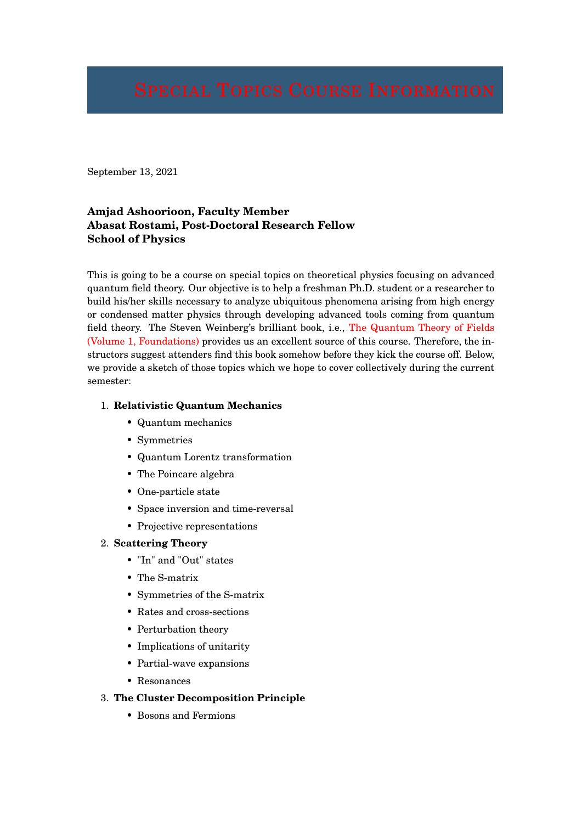September 13, 2021

# **Amjad Ashoorioon, Faculty Member Abasat Rostami, Post-Doctoral Research Fellow School of Physics**

This is going to be a course on special topics on theoretical physics focusing on advanced quantum field theory. Our objective is to help a freshman Ph.D. student or a researcher to build his/her skills necessary to analyze ubiquitous phenomena arising from high energy or condensed matter physics through developing advanced tools coming from quantum field theory. The Steven Weinberg's brilliant book, i.e., The Quantum Theory of Fields (Volume 1, Foundations) provides us an excellent source of this course. Therefore, the instructors suggest attenders find this book somehow before they kick the course off. Below, we provide a sketch of those topics which we hope to cover collectively during the current semester:

### 1. **Relativistic Quantum Mechanics**

- Quantum mechanics
- Symmetries
- Quantum Lorentz transformation
- The Poincare algebra
- One-particle state
- Space inversion and time-reversal
- Projective representations

### 2. **Scattering Theory**

- "In" and "Out" states
- The S-matrix
- Symmetries of the S-matrix
- Rates and cross-sections
- Perturbation theory
- Implications of unitarity
- Partial-wave expansions
- Resonances
- 3. **The Cluster Decomposition Principle**
	- Bosons and Fermions